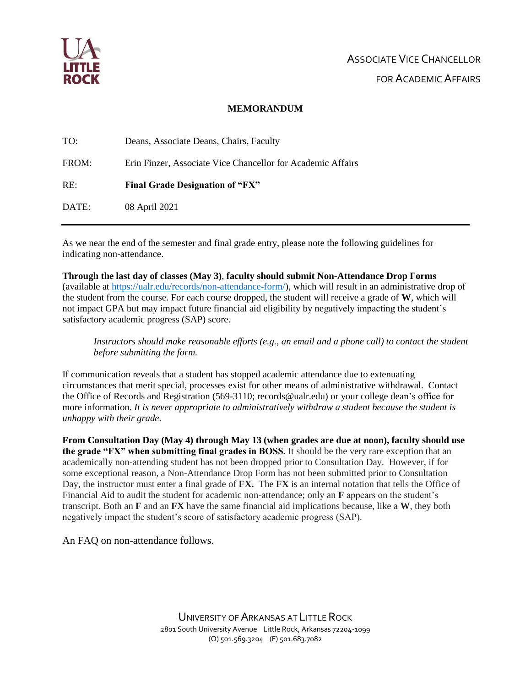

### **MEMORANDUM**

| TO:   | Deans, Associate Deans, Chairs, Faculty                     |
|-------|-------------------------------------------------------------|
| FROM: | Erin Finzer, Associate Vice Chancellor for Academic Affairs |
| RE:   | <b>Final Grade Designation of "FX"</b>                      |
| DATE: | 08 April 2021                                               |

As we near the end of the semester and final grade entry, please note the following guidelines for indicating non-attendance.

**Through the last day of classes (May 3)**, **faculty should submit Non-Attendance Drop Forms** (available at [https://ualr.edu/records/non-attendance-form/\)](https://ualr.edu/records/non-attendance-form/), which will result in an administrative drop of the student from the course. For each course dropped, the student will receive a grade of **W**, which will not impact GPA but may impact future financial aid eligibility by negatively impacting the student's satisfactory academic progress (SAP) score.

*Instructors should make reasonable efforts (e.g., an email and a phone call) to contact the student before submitting the form.*

If communication reveals that a student has stopped academic attendance due to extenuating circumstances that merit special, processes exist for other means of administrative withdrawal. Contact the Office of Records and Registration (569-3110; records@ualr.edu) or your college dean's office for more information. *It is never appropriate to administratively withdraw a student because the student is unhappy with their grade.*

**From Consultation Day (May 4) through May 13 (when grades are due at noon), faculty should use the grade "FX" when submitting final grades in BOSS.** It should be the very rare exception that an academically non-attending student has not been dropped prior to Consultation Day. However, if for some exceptional reason, a Non-Attendance Drop Form has not been submitted prior to Consultation Day, the instructor must enter a final grade of **FX.** The **FX** is an internal notation that tells the Office of Financial Aid to audit the student for academic non-attendance; only an **F** appears on the student's transcript. Both an **F** and an **FX** have the same financial aid implications because, like a **W**, they both negatively impact the student's score of satisfactory academic progress (SAP).

An FAQ on non-attendance follows.

UNIVERSITY OF ARKANSAS AT LITTLE ROCK 2801 South University Avenue Little Rock, Arkansas 72204-1099 (O) 501.569.3204 (F) 501.683.7082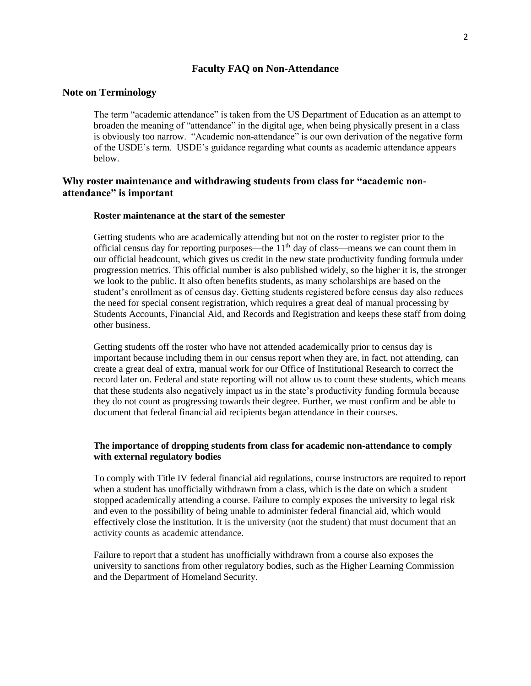### **Faculty FAQ on Non-Attendance**

#### **Note on Terminology**

The term "academic attendance" is taken from the US Department of Education as an attempt to broaden the meaning of "attendance" in the digital age, when being physically present in a class is obviously too narrow. "Academic non-attendance" is our own derivation of the negative form of the USDE's term. USDE's guidance regarding what counts as academic attendance appears below.

# **Why roster maintenance and withdrawing students from class for "academic nonattendance" is important**

#### **Roster maintenance at the start of the semester**

Getting students who are academically attending but not on the roster to register prior to the official census day for reporting purposes—the  $11<sup>th</sup>$  day of class—means we can count them in our official headcount, which gives us credit in the new state productivity funding formula under progression metrics. This official number is also published widely, so the higher it is, the stronger we look to the public. It also often benefits students, as many scholarships are based on the student's enrollment as of census day. Getting students registered before census day also reduces the need for special consent registration, which requires a great deal of manual processing by Students Accounts, Financial Aid, and Records and Registration and keeps these staff from doing other business.

Getting students off the roster who have not attended academically prior to census day is important because including them in our census report when they are, in fact, not attending, can create a great deal of extra, manual work for our Office of Institutional Research to correct the record later on. Federal and state reporting will not allow us to count these students, which means that these students also negatively impact us in the state's productivity funding formula because they do not count as progressing towards their degree. Further, we must confirm and be able to document that federal financial aid recipients began attendance in their courses.

#### **The importance of dropping students from class for academic non-attendance to comply with external regulatory bodies**

To comply with Title IV federal financial aid regulations, course instructors are required to report when a student has unofficially withdrawn from a class, which is the date on which a student stopped academically attending a course. Failure to comply exposes the university to legal risk and even to the possibility of being unable to administer federal financial aid, which would effectively close the institution. It is the university (not the student) that must document that an activity counts as academic attendance.

Failure to report that a student has unofficially withdrawn from a course also exposes the university to sanctions from other regulatory bodies, such as the Higher Learning Commission and the Department of Homeland Security.